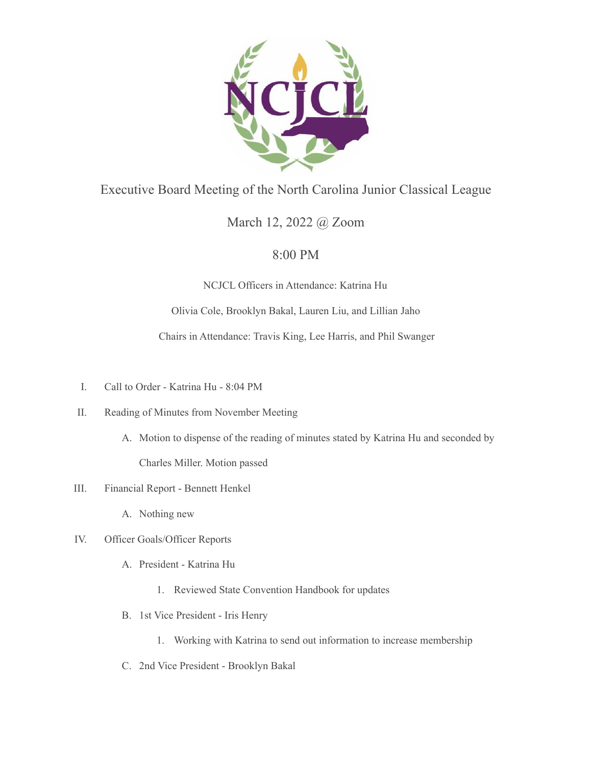

## Executive Board Meeting of the North Carolina Junior Classical League

## March 12, 2022 @ Zoom

## 8:00 PM

NCJCL Officers in Attendance: Katrina Hu

Olivia Cole, Brooklyn Bakal, Lauren Liu, and Lillian Jaho

Chairs in Attendance: Travis King, Lee Harris, and Phil Swanger

- I. Call to Order Katrina Hu 8:04 PM
- II. Reading of Minutes from November Meeting
	- A. Motion to dispense of the reading of minutes stated by Katrina Hu and seconded by Charles Miller. Motion passed
- III. Financial Report Bennett Henkel
	- A. Nothing new
- IV. Officer Goals/Officer Reports
	- A. President Katrina Hu
		- 1. Reviewed State Convention Handbook for updates
	- B. 1st Vice President Iris Henry
		- 1. Working with Katrina to send out information to increase membership
	- C. 2nd Vice President Brooklyn Bakal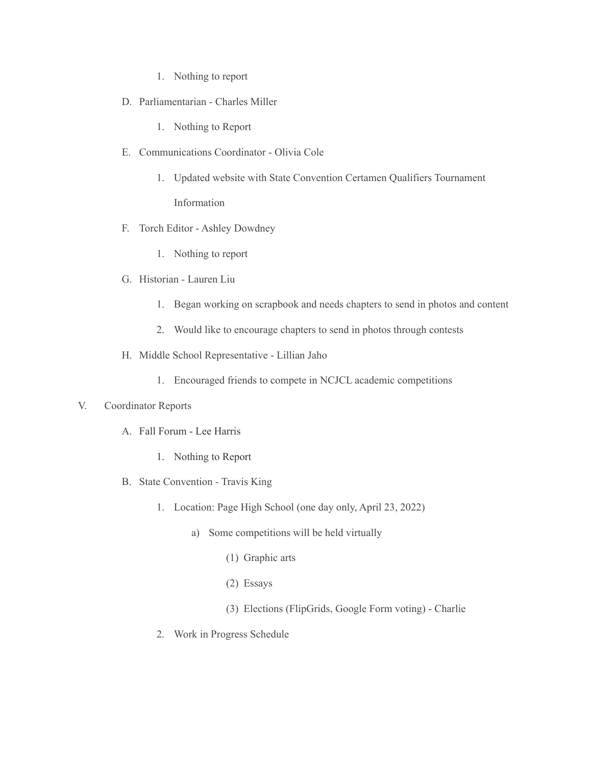- 1. Nothing to report
- D. Parliamentarian Charles Miller
	- 1. Nothing to Report
- E. Communications Coordinator Olivia Cole
	- 1. Updated website with State Convention Certamen Qualifiers Tournament Information
- F. Torch Editor Ashley Dowdney
	- 1. Nothing to report
- G. Historian Lauren Liu
	- 1. Began working on scrapbook and needs chapters to send in photos and content
	- 2. Would like to encourage chapters to send in photos through contests
- H. Middle School Representative Lillian Jaho
	- 1. Encouraged friends to compete in NCJCL academic competitions

## V. Coordinator Reports

- A. Fall Forum Lee Harris
	- 1. Nothing to Report
- B. State Convention Travis King
	- 1. Location: Page High School (one day only, April 23, 2022)
		- a) Some competitions will be held virtually
			- (1) Graphic arts
			- (2) Essays
			- (3) Elections (FlipGrids, Google Form voting) Charlie
	- 2. Work in Progress Schedule